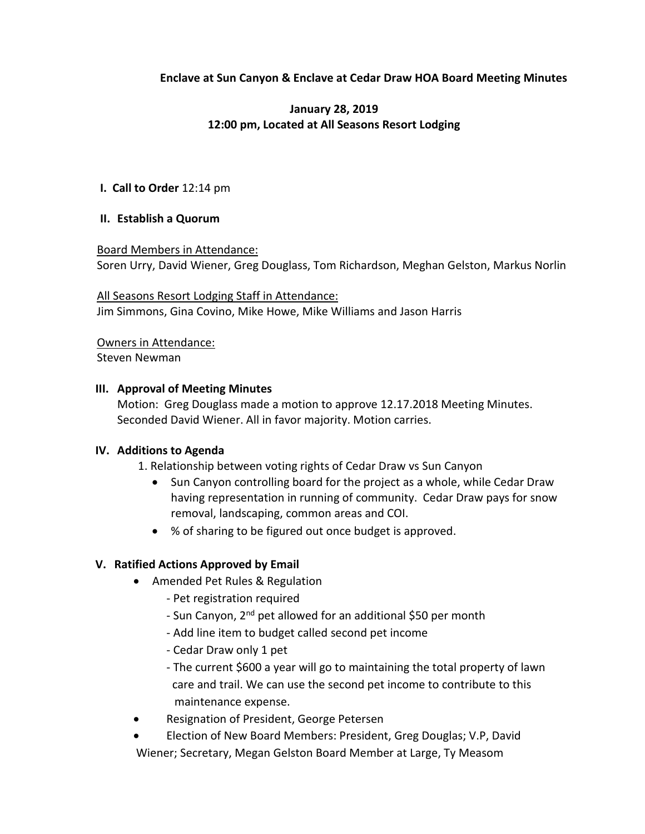# **Enclave at Sun Canyon & Enclave at Cedar Draw HOA Board Meeting Minutes**

# **January 28, 2019 12:00 pm, Located at All Seasons Resort Lodging**

### **I. Call to Order** 12:14 pm

### **II. Establish a Quorum**

#### Board Members in Attendance:

Soren Urry, David Wiener, Greg Douglass, Tom Richardson, Meghan Gelston, Markus Norlin

All Seasons Resort Lodging Staff in Attendance: Jim Simmons, Gina Covino, Mike Howe, Mike Williams and Jason Harris

Owners in Attendance:

Steven Newman

### **III. Approval of Meeting Minutes**

Motion: Greg Douglass made a motion to approve 12.17.2018 Meeting Minutes. Seconded David Wiener. All in favor majority. Motion carries.

## **IV. Additions to Agenda**

- 1. Relationship between voting rights of Cedar Draw vs Sun Canyon
	- Sun Canyon controlling board for the project as a whole, while Cedar Draw having representation in running of community. Cedar Draw pays for snow removal, landscaping, common areas and COI.
	- % of sharing to be figured out once budget is approved.

## **V. Ratified Actions Approved by Email**

- Amended Pet Rules & Regulation
	- Pet registration required
	- Sun Canyon, 2<sup>nd</sup> pet allowed for an additional \$50 per month
	- Add line item to budget called second pet income
	- Cedar Draw only 1 pet
	- The current \$600 a year will go to maintaining the total property of lawn care and trail. We can use the second pet income to contribute to this maintenance expense.
- Resignation of President, George Petersen
- Election of New Board Members: President, Greg Douglas; V.P, David Wiener; Secretary, Megan Gelston Board Member at Large, Ty Measom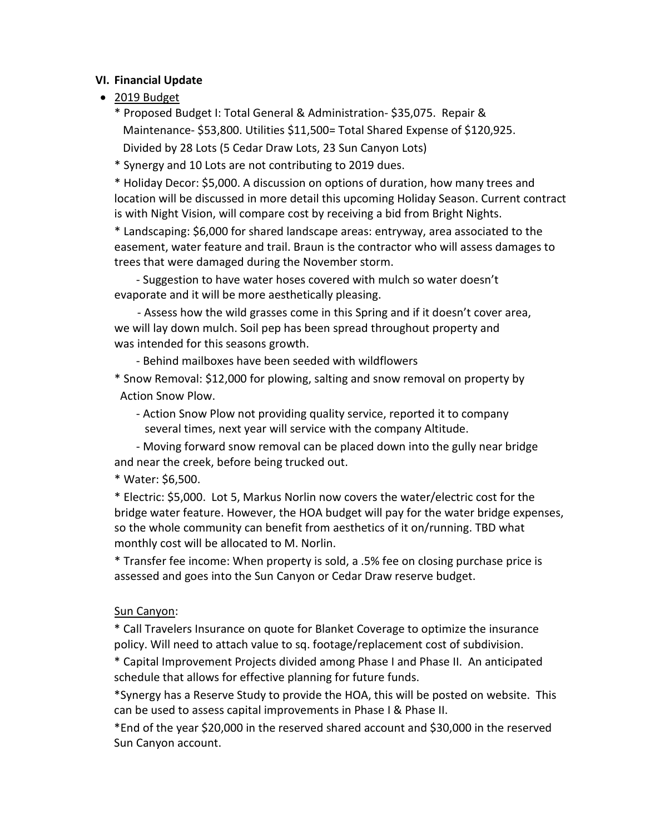## **VI. Financial Update**

• 2019 Budget

\* Proposed Budget I: Total General & Administration- \$35,075. Repair & Maintenance- \$53,800. Utilities \$11,500= Total Shared Expense of \$120,925. Divided by 28 Lots (5 Cedar Draw Lots, 23 Sun Canyon Lots)

\* Synergy and 10 Lots are not contributing to 2019 dues.

\* Holiday Decor: \$5,000. A discussion on options of duration, how many trees and location will be discussed in more detail this upcoming Holiday Season. Current contract is with Night Vision, will compare cost by receiving a bid from Bright Nights.

\* Landscaping: \$6,000 for shared landscape areas: entryway, area associated to the easement, water feature and trail. Braun is the contractor who will assess damages to trees that were damaged during the November storm.

- Suggestion to have water hoses covered with mulch so water doesn't evaporate and it will be more aesthetically pleasing.

 - Assess how the wild grasses come in this Spring and if it doesn't cover area, we will lay down mulch. Soil pep has been spread throughout property and was intended for this seasons growth.

- Behind mailboxes have been seeded with wildflowers

\* Snow Removal: \$12,000 for plowing, salting and snow removal on property by Action Snow Plow.

 - Action Snow Plow not providing quality service, reported it to company several times, next year will service with the company Altitude.

- Moving forward snow removal can be placed down into the gully near bridge and near the creek, before being trucked out.

\* Water: \$6,500.

\* Electric: \$5,000. Lot 5, Markus Norlin now covers the water/electric cost for the bridge water feature. However, the HOA budget will pay for the water bridge expenses, so the whole community can benefit from aesthetics of it on/running. TBD what monthly cost will be allocated to M. Norlin.

\* Transfer fee income: When property is sold, a .5% fee on closing purchase price is assessed and goes into the Sun Canyon or Cedar Draw reserve budget.

# Sun Canyon:

\* Call Travelers Insurance on quote for Blanket Coverage to optimize the insurance policy. Will need to attach value to sq. footage/replacement cost of subdivision.

\* Capital Improvement Projects divided among Phase I and Phase II. An anticipated schedule that allows for effective planning for future funds.

\*Synergy has a Reserve Study to provide the HOA, this will be posted on website. This can be used to assess capital improvements in Phase I & Phase II.

\*End of the year \$20,000 in the reserved shared account and \$30,000 in the reserved Sun Canyon account.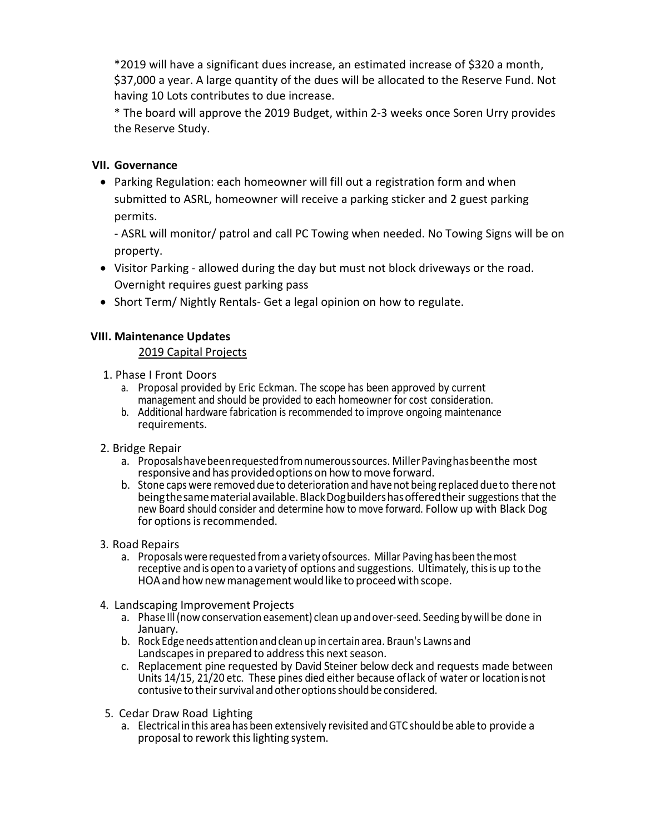\*2019 will have a significant dues increase, an estimated increase of \$320 a month, \$37,000 a year. A large quantity of the dues will be allocated to the Reserve Fund. Not having 10 Lots contributes to due increase.

\* The board will approve the 2019 Budget, within 2-3 weeks once Soren Urry provides the Reserve Study.

# **VII. Governance**

• Parking Regulation: each homeowner will fill out a registration form and when submitted to ASRL, homeowner will receive a parking sticker and 2 guest parking permits.

- ASRL will monitor/ patrol and call PC Towing when needed. No Towing Signs will be on property.

- Visitor Parking allowed during the day but must not block driveways or the road. Overnight requires guest parking pass
- Short Term/ Nightly Rentals- Get a legal opinion on how to regulate.

## **VIII. Maintenance Updates**

## 2019 Capital Projects

- 1. Phase I Front Doors
	- a. Proposal provided by Eric Eckman. The scope has been approved by current management and should be provided to each homeowner for cost consideration.
	- b. Additional hardware fabrication is recommended to improve ongoing maintenance requirements.
- 2. Bridge Repair
	- a. Proposalshavebeenrequestedfromnumeroussources. MillerPavinghasbeenthe most responsive and has provided options on how to move forward.
	- b. Stone caps were removed due to deterioration and have not being replaced due to therenot beingthesamematerialavailable.BlackDogbuildershasofferedtheir suggestions that the new Board should consider and determine how to move forward. Follow up with Black Dog for options is recommended.
- 3. Road Repairs
	- a. Proposals were requestedfroma varietyofsources. Millar Paving has beenthemost receptive and is open to a variety of options and suggestions. Ultimately, thisis up tothe HOA and how new management would like to proceed with scope.
- 4. Landscaping Improvement Projects
	- a. Phase Ill(now conservation easement) clean up andover-seed. Seeding bywill be done in January.
	- b. Rock Edge needs attentionand clean up in certainarea. Braun's Lawns and Landscapes in prepared to address this next season.
	- c. Replacement pine requested by David Steiner below deck and requests made between Units 14/15, 21/20 etc. These pines died either because oflack of water or locationis not contusive to their survival and other options should be considered.
- 5. Cedar Draw Road Lighting
	- a. Electrical in this area has been extensively revisited andGTC should be able to provide a proposal to rework thislighting system.